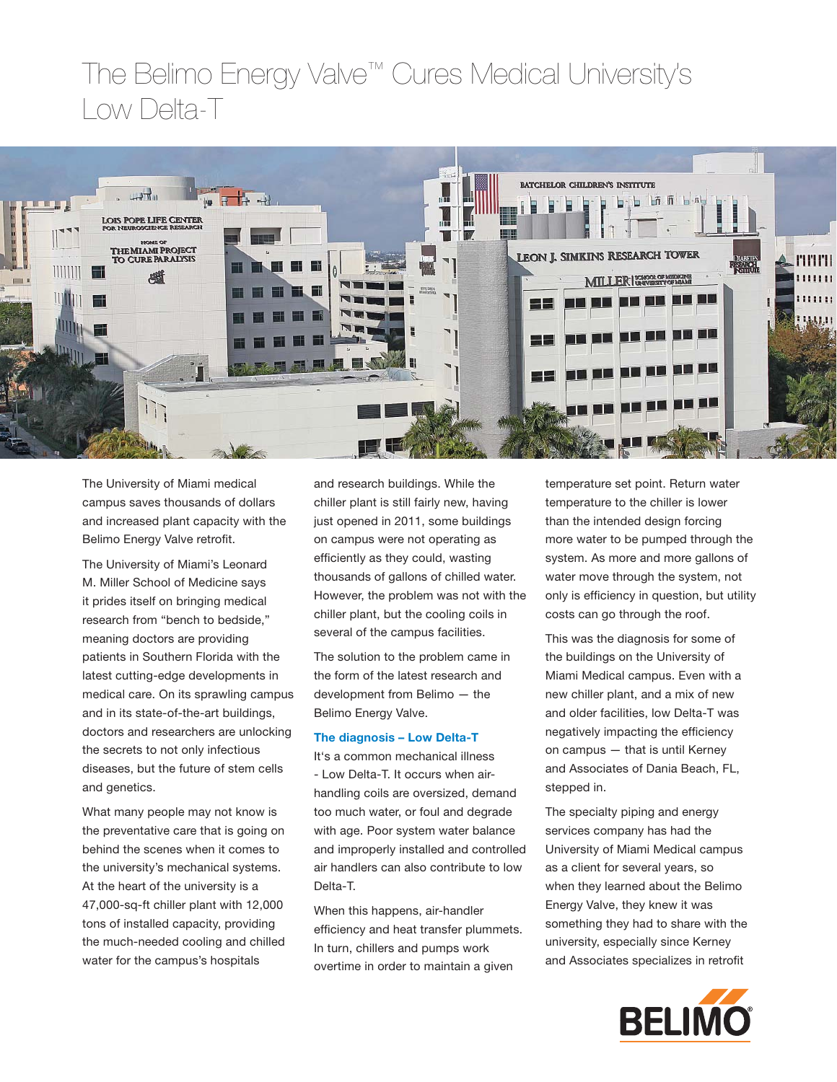# The Belimo Energy Valve™ Cures Medical University's Low Delta-T



The University of Miami medical campus saves thousands of dollars and increased plant capacity with the Belimo Energy Valve retrofit.

The University of Miami's Leonard M. Miller School of Medicine says it prides itself on bringing medical research from "bench to bedside," meaning doctors are providing patients in Southern Florida with the latest cutting-edge developments in medical care. On its sprawling campus and in its state-of-the-art buildings, doctors and researchers are unlocking the secrets to not only infectious diseases, but the future of stem cells and genetics.

What many people may not know is the preventative care that is going on behind the scenes when it comes to the university's mechanical systems. At the heart of the university is a 47,000-sq-ft chiller plant with 12,000 tons of installed capacity, providing the much-needed cooling and chilled water for the campus's hospitals

and research buildings. While the chiller plant is still fairly new, having just opened in 2011, some buildings on campus were not operating as efficiently as they could, wasting thousands of gallons of chilled water. However, the problem was not with the chiller plant, but the cooling coils in several of the campus facilities.

The solution to the problem came in the form of the latest research and development from Belimo — the Belimo Energy Valve.

# **The diagnosis – Low Delta-T**

It's a common mechanical illness - Low Delta-T. It occurs when airhandling coils are oversized, demand too much water, or foul and degrade with age. Poor system water balance and improperly installed and controlled air handlers can also contribute to low Delta-T.

When this happens, air-handler efficiency and heat transfer plummets. In turn, chillers and pumps work overtime in order to maintain a given

temperature set point. Return water temperature to the chiller is lower than the intended design forcing more water to be pumped through the system. As more and more gallons of water move through the system, not only is efficiency in question, but utility costs can go through the roof.

This was the diagnosis for some of the buildings on the University of Miami Medical campus. Even with a new chiller plant, and a mix of new and older facilities, low Delta-T was negatively impacting the efficiency on campus — that is until Kerney and Associates of Dania Beach, FL, stepped in.

The specialty piping and energy services company has had the University of Miami Medical campus as a client for several years, so when they learned about the Belimo Energy Valve, they knew it was something they had to share with the university, especially since Kerney and Associates specializes in retrofit

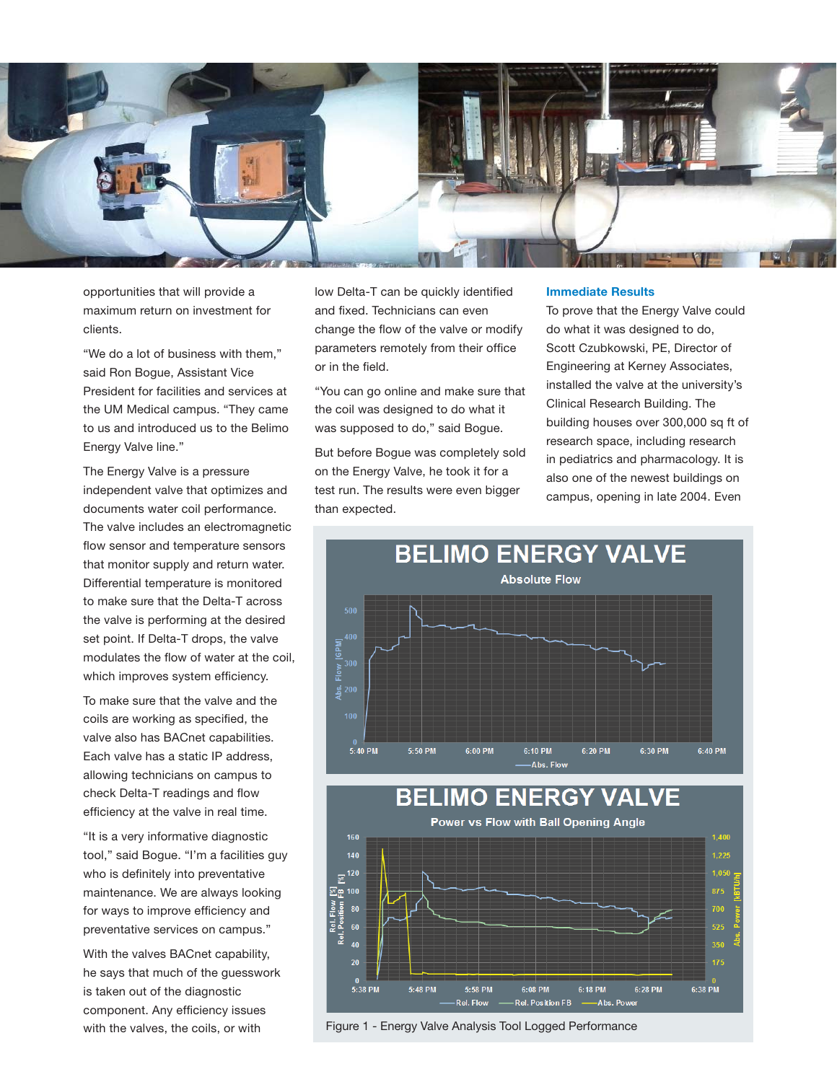

opportunities that will provide a maximum return on investment for clients.

"We do a lot of business with them," said Ron Bogue, Assistant Vice President for facilities and services at the UM Medical campus. "They came to us and introduced us to the Belimo Energy Valve line."

The Energy Valve is a pressure independent valve that optimizes and documents water coil performance. The valve includes an electromagnetic flow sensor and temperature sensors that monitor supply and return water. Differential temperature is monitored to make sure that the Delta-T across the valve is performing at the desired set point. If Delta-T drops, the valve modulates the flow of water at the coil, which improves system efficiency.

To make sure that the valve and the coils are working as specified, the valve also has BACnet capabilities. Each valve has a static IP address, allowing technicians on campus to check Delta-T readings and flow efficiency at the valve in real time.

"It is a very informative diagnostic tool," said Bogue. "I'm a facilities guy who is definitely into preventative maintenance. We are always looking for ways to improve efficiency and preventative services on campus."

With the valves BACnet capability, he says that much of the guesswork is taken out of the diagnostic component. Any efficiency issues with the valves, the coils, or with

low Delta-T can be quickly identified and fixed. Technicians can even change the flow of the valve or modify parameters remotely from their office or in the field.

"You can go online and make sure that the coil was designed to do what it was supposed to do," said Bogue.

But before Bogue was completely sold on the Energy Valve, he took it for a test run. The results were even bigger than expected.

#### **Immediate Results**

To prove that the Energy Valve could do what it was designed to do, Scott Czubkowski, PE, Director of Engineering at Kerney Associates, installed the valve at the university's Clinical Research Building. The building houses over 300,000 sq ft of research space, including research in pediatrics and pharmacology. It is also one of the newest buildings on campus, opening in late 2004. Even





Figure 1 - Energy Valve Analysis Tool Logged Performance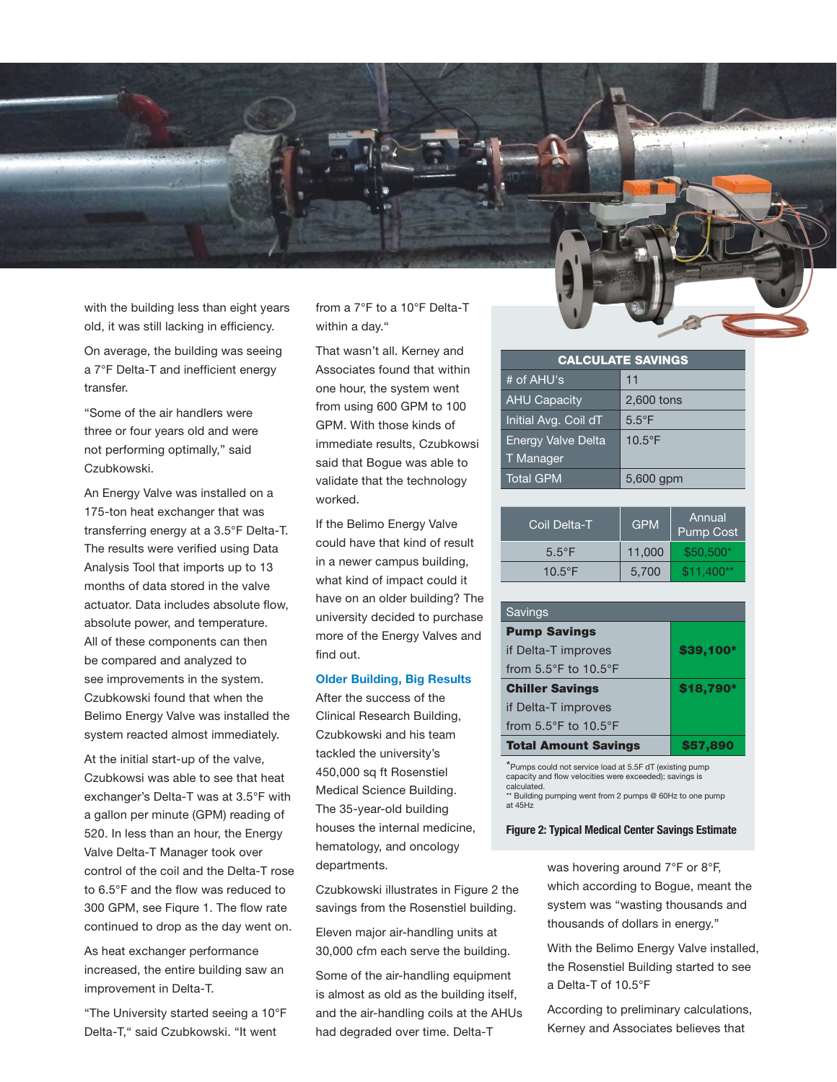with the building less than eight years old, it was still lacking in efficiency.

On average, the building was seeing a 7°F Delta-T and inefficient energy transfer.

"Some of the air handlers were three or four years old and were not performing optimally," said Czubkowski.

An Energy Valve was installed on a 175-ton heat exchanger that was transferring energy at a 3.5°F Delta-T. The results were verified using Data Analysis Tool that imports up to 13 months of data stored in the valve actuator. Data includes absolute flow, absolute power, and temperature. All of these components can then be compared and analyzed to see improvements in the system. Czubkowski found that when the Belimo Energy Valve was installed the system reacted almost immediately.

At the initial start-up of the valve, Czubkowsi was able to see that heat exchanger's Delta-T was at 3.5°F with a gallon per minute (GPM) reading of 520. In less than an hour, the Energy Valve Delta-T Manager took over control of the coil and the Delta-T rose to 6.5°F and the flow was reduced to 300 GPM, see Figure 1. The flow rate continued to drop as the day went on.

As heat exchanger performance increased, the entire building saw an improvement in Delta-T.

"The University started seeing a 10°F Delta-T," said Czubkowski. "It went

from a 7°F to a 10°F Delta-T within a day."

That wasn't all. Kerney and Associates found that within one hour, the system went from using 600 GPM to 100 GPM. With those kinds of immediate results, Czubkowsi said that Bogue was able to validate that the technology worked.

If the Belimo Energy Valve could have that kind of result in a newer campus building, what kind of impact could it have on an older building? The university decided to purchase more of the Energy Valves and find out.

# **Older Building, Big Results**

After the success of the Clinical Research Building, Czubkowski and his team tackled the university's 450,000 sq ft Rosenstiel Medical Science Building. The 35-year-old building houses the internal medicine, hematology, and oncology departments.

Czubkowski illustrates in Figure 2 the savings from the Rosenstiel building.

Eleven major air-handling units at 30,000 cfm each serve the building.

Some of the air-handling equipment is almost as old as the building itself, and the air-handling coils at the AHUs had degraded over time. Delta-T

| <b>CALCULATE SAVINGS</b>  |                  |  |
|---------------------------|------------------|--|
| # of AHU's                | 11               |  |
| <b>AHU Capacity</b>       | 2,600 tons       |  |
| Initial Avg. Coil dT      | $5.5^{\circ}$ F  |  |
| <b>Energy Valve Delta</b> | $10.5^{\circ}$ F |  |
| T Manager                 |                  |  |
| <b>Total GPM</b>          | 5,600 gpm        |  |

| Coil Delta-T     | <b>GPM</b> | Annual<br><b>Pump Cost</b> |
|------------------|------------|----------------------------|
| $5.5^{\circ}$ F  | 11.000     | $$50,500*$                 |
| $10.5^{\circ}$ F | 5,700      | $$11.400**$                |

| Savings                                  |           |  |
|------------------------------------------|-----------|--|
| <b>Pump Savings</b>                      |           |  |
| \$39,100*<br>if Delta-T improves         |           |  |
| from $5.5^{\circ}$ F to $10.5^{\circ}$ F |           |  |
| <b>Chiller Savings</b>                   | \$18,790* |  |
| if Delta-T improves                      |           |  |
| from $5.5^{\circ}$ F to $10.5^{\circ}$ F |           |  |
| <b>Total Amount Savings</b>              | \$57.890  |  |

\*Pumps could not service load at 5.5F dT (existing pump capacity and flow velocities were exceeded); savings is calculated.

\*\* Building pumping went from 2 pumps @ 60Hz to one pump at 45Hz

### **Figure 2: Typical Medical Center Savings Estimate**

was hovering around 7°F or 8°F, which according to Bogue, meant the system was "wasting thousands and thousands of dollars in energy."

With the Belimo Energy Valve installed, the Rosenstiel Building started to see a Delta-T of 10.5°F

According to preliminary calculations, Kerney and Associates believes that